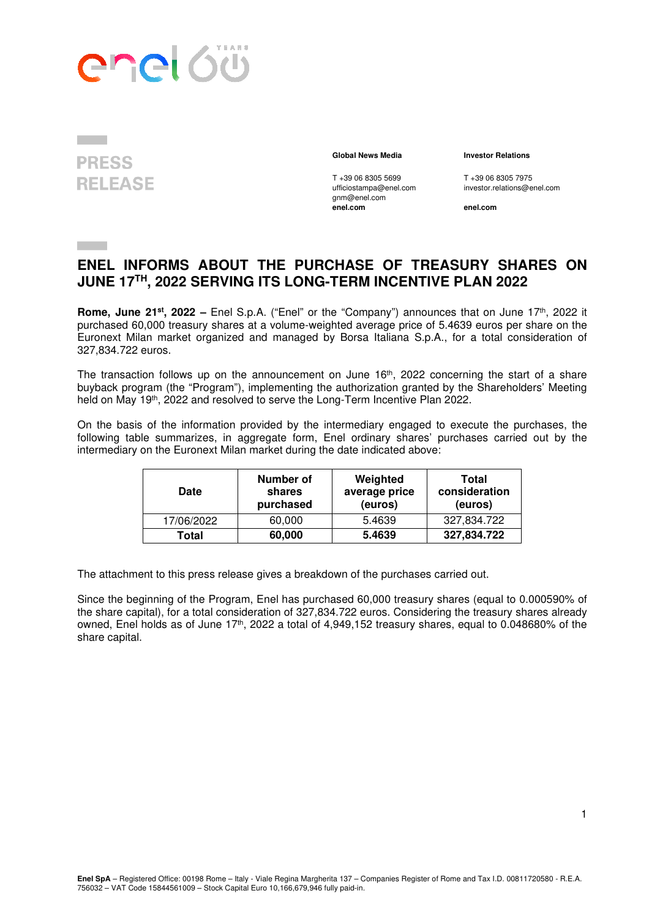



 $T + 390683055699$  T +390683057975<br>ufficiostampa@enel.com investor.relations@e gnm@enel.com<br>enel.com

 **Global News Media Investor Relations** 

investor.relations@enel.com

**enel.com enel.com**

## **ENEL INFORMS ABOUT THE PURCHASE OF TREASURY SHARES ON JUNE 17TH, 2022 SERVING ITS LONG-TERM INCENTIVE PLAN 2022**

**Rome, June 21<sup>st</sup>, 2022** – Enel S.p.A. ("Enel" or the "Company") announces that on June 17<sup>th</sup>, 2022 it purchased 60,000 treasury shares at a volume-weighted average price of 5.4639 euros per share on the Euronext Milan market organized and managed by Borsa Italiana S.p.A., for a total consideration of 327,834.722 euros.

The transaction follows up on the announcement on June 16<sup>th</sup>, 2022 concerning the start of a share buyback program (the "Program"), implementing the authorization granted by the Shareholders' Meeting held on May 19th, 2022 and resolved to serve the Long-Term Incentive Plan 2022.

On the basis of the information provided by the intermediary engaged to execute the purchases, the following table summarizes, in aggregate form, Enel ordinary shares' purchases carried out by the intermediary on the Euronext Milan market during the date indicated above:

| <b>Date</b> | Number of<br>shares<br>purchased | Weighted<br>average price<br>(euros) | Total<br>consideration<br>(euros) |
|-------------|----------------------------------|--------------------------------------|-----------------------------------|
| 17/06/2022  | 60,000                           | 5.4639                               | 327,834.722                       |
| Total       | 60,000                           | 5.4639                               | 327,834.722                       |

The attachment to this press release gives a breakdown of the purchases carried out.

Since the beginning of the Program, Enel has purchased 60,000 treasury shares (equal to 0.000590% of the share capital), for a total consideration of 327,834.722 euros. Considering the treasury shares already owned, Enel holds as of June 17<sup>th</sup>, 2022 a total of 4,949,152 treasury shares, equal to 0.048680% of the share capital.